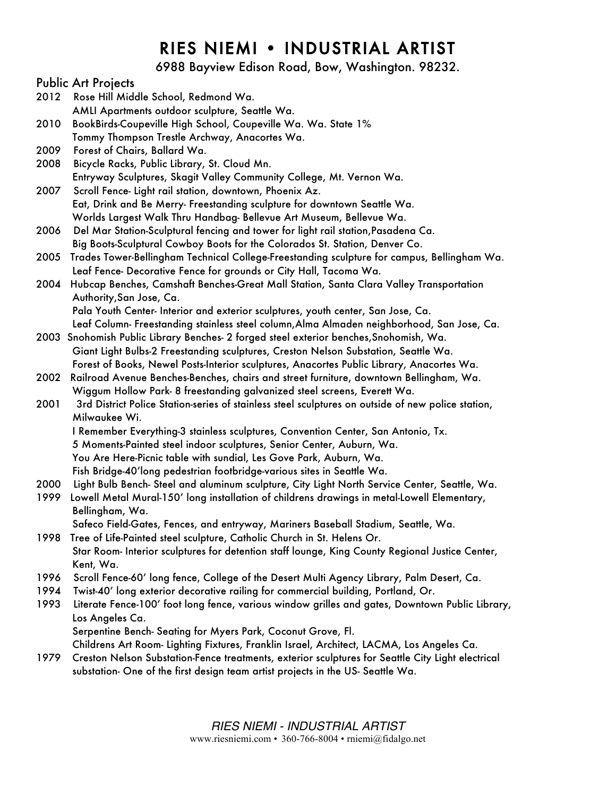# RIES NIEMI • INDUSTRIAL ARTIST

6988 Bayview Edison Road, Bow, Washington. 98232.

## Public Art Projects

- 2012 Rose Hill Middle School, Redmond Wa. AMLI Apartments outdoor sculpture, Seattle Wa.
- 2010 BookBirds-Coupeville High School, Coupeville Wa. Wa. State 1% Tommy Thompson Trestle Archway, Anacortes Wa.
- 2009 Forest of Chairs, Ballard Wa.
- 2008 Bicycle Racks, Public Library, St. Cloud Mn. Entryway Sculptures, Skagit Valley Community College, Mt. Vernon Wa.
- 2007 Scroll Fence- Light rail station, downtown, Phoenix Az. Eat, Drink and Be Merry- Freestanding sculpture for downtown Seattle Wa. Worlds Largest Walk Thru Handbag- Bellevue Art Museum, Bellevue Wa.
- 2006 Del Mar Station-Sculptural fencing and tower for light rail station,Pasadena Ca. Big Boots-Sculptural Cowboy Boots for the Colorados St. Station, Denver Co.
- 2005 Trades Tower-Bellingham Technical College-Freestanding sculpture for campus, Bellingham Wa. Leaf Fence- Decorative Fence for grounds or City Hall, Tacoma Wa.
- 2004 Hubcap Benches, Camshaft Benches-Great Mall Station, Santa Clara Valley Transportation Authority,San Jose, Ca.

Pala Youth Center- Interior and exterior sculptures, youth center, San Jose, Ca.

- Leaf Column- Freestanding stainless steel column,Alma Almaden neighborhood, San Jose, Ca.
- 2003 Snohomish Public Library Benches- 2 forged steel exterior benches,Snohomish, Wa. Giant Light Bulbs-2 Freestanding sculptures, Creston Nelson Substation, Seattle Wa. Forest of Books, Newel Posts-Interior sculptures, Anacortes Public Library, Anacortes Wa.
- 2002 Railroad Avenue Benches-Benches, chairs and street furniture, downtown Bellingham, Wa. Wiggum Hollow Park- 8 freestanding galvanized steel screens, Everett Wa.
- 2001 3rd District Police Station-series of stainless steel sculptures on outside of new police station, Milwaukee Wi.
	- I Remember Everything-3 stainless sculptures, Convention Center, San Antonio, Tx.
	- 5 Moments-Painted steel indoor sculptures, Senior Center, Auburn, Wa.
		- You Are Here-Picnic table with sundial, Les Gove Park, Auburn, Wa.
		- Fish Bridge-40'long pedestrian footbridge-various sites in Seattle Wa.
- 2000 Light Bulb Bench- Steel and aluminum sculpture, City Light North Service Center, Seattle, Wa.
- 1999 Lowell Metal Mural-150' long installation of childrens drawings in metal-Lowell Elementary, Bellingham, Wa.
	- Safeco Field-Gates, Fences, and entryway, Mariners Baseball Stadium, Seattle, Wa.
- 1998 Tree of Life-Painted steel sculpture, Catholic Church in St. Helens Or. Star Room- Interior sculptures for detention staff lounge, King County Regional Justice Center, Kent, Wa.
- 1996 Scroll Fence-60' long fence, College of the Desert Multi Agency Library, Palm Desert, Ca.
- 1994 Twist-40' long exterior decorative railing for commercial building, Portland, Or.
- 1993 Literate Fence-100' foot long fence, various window grilles and gates, Downtown Public Library, Los Angeles Ca. Serpentine Bench- Seating for Myers Park, Coconut Grove, Fl.
	- Childrens Art Room- Lighting Fixtures, Franklin Israel, Architect, LACMA, Los Angeles Ca.
- 1979 Creston Nelson Substation-Fence treatments, exterior sculptures for Seattle City Light electrical substation- One of the first design team artist projects in the US- Seattle Wa.

*RIES NIEMI - INDUSTRIAL ARTIST*

www.riesniemi.com • 360-766-8004 • rniemi@fidalgo.net